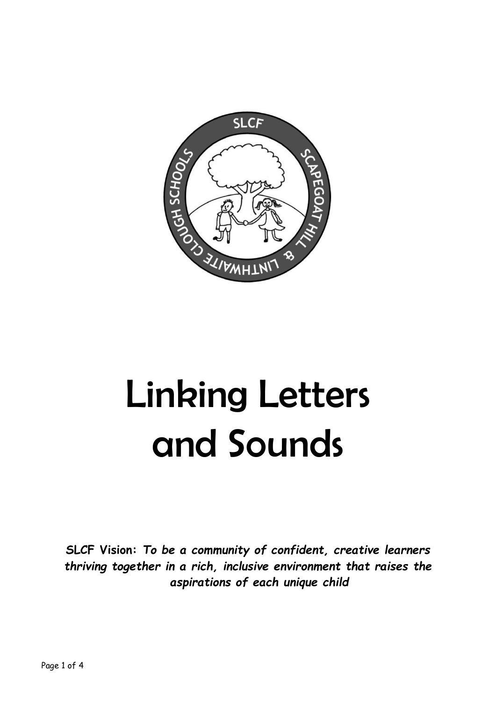

# Linking Letters and Sounds

**SLCF Vision:** *To be a community of confident, creative learners thriving together in a rich, inclusive environment that raises the aspirations of each unique child*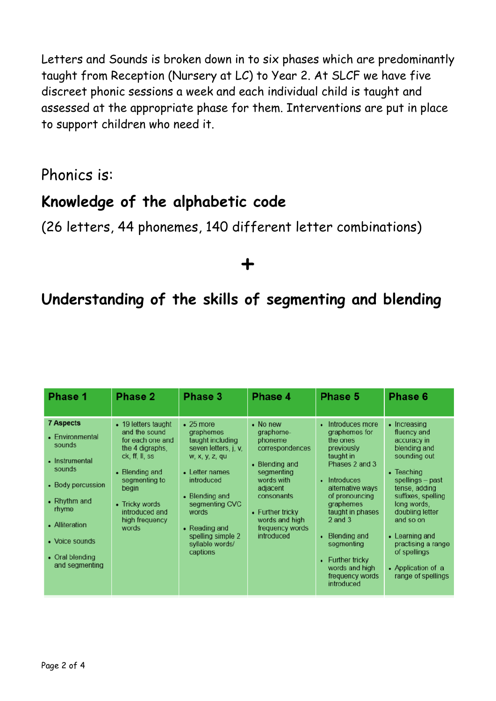Letters and Sounds is broken down in to six phases which are predominantly taught from Reception (Nursery at LC) to Year 2. At SLCF we have five discreet phonic sessions a week and each individual child is taught and assessed at the appropriate phase for them. Interventions are put in place to support children who need it.

Phonics is:

### **Knowledge of the alphabetic code**

(26 letters, 44 phonemes, 140 different letter combinations)

## +

### **Understanding of the skills of segmenting and blending**

| Phase 1                                                                                                                                                                                          | Phase 2                                                                                                                                                                                                  | Phase 3                                                                                                                                                                                                                                      | Phase 4                                                                                                                                                                                            | <b>Phase 5</b>                                                                                                                                                                                                                                                                                                   | Phase 6                                                                                                                                                                                                                                                                                                |
|--------------------------------------------------------------------------------------------------------------------------------------------------------------------------------------------------|----------------------------------------------------------------------------------------------------------------------------------------------------------------------------------------------------------|----------------------------------------------------------------------------------------------------------------------------------------------------------------------------------------------------------------------------------------------|----------------------------------------------------------------------------------------------------------------------------------------------------------------------------------------------------|------------------------------------------------------------------------------------------------------------------------------------------------------------------------------------------------------------------------------------------------------------------------------------------------------------------|--------------------------------------------------------------------------------------------------------------------------------------------------------------------------------------------------------------------------------------------------------------------------------------------------------|
| <b>7 Aspects</b><br>• Environmental<br>sounds<br>• Instrumental<br>sounds<br>• Body percussion<br>• Rhythm and<br>rhyme<br>• Alliteration<br>• Voice sounds<br>• Oral blending<br>and segmenting | • 19 letters taught<br>and the sound<br>for each one and<br>the 4 digraphs,<br>ck, ff, ll, ss<br>• Blending and<br>segmenting to<br>begin<br>• Tricky words<br>introduced and<br>high frequency<br>words | $\cdot$ 25 more<br>graphemes<br>taught including<br>seven letters, j. v.<br>w, x, y, z, qu<br>• Letter names<br>introduced<br>• Blending and<br>segmenting CVC<br>words<br>• Reading and<br>spelling simple 2<br>syllable words/<br>captions | • No new<br>grapheme-<br>phoneme<br>correspondences<br>• Blending and<br>segmenting<br>words with<br>adjacent<br>consonants<br>• Further tricky<br>words and high<br>frequency words<br>introduced | Introduces more<br>٠<br>graphemes for<br>the ones<br>previously<br>taught in<br>Phases 2 and 3<br>• Introduces<br>alternative ways<br>of pronouncing<br>graphemes<br>taught in phases<br>$2$ and $3$<br><b>Blending and</b><br>segmenting<br>• Further tricky<br>words and high<br>frequency words<br>introduced | • Increasing<br>fluency and<br>accuracy in<br>blending and<br>sounding out<br>• Teaching<br>spellings - past<br>tense, adding<br>suffixes, spelling<br>long words.<br>doubling letter<br>and so on<br>• Learning and<br>practising a range<br>of spellings<br>• Application of a<br>range of spellings |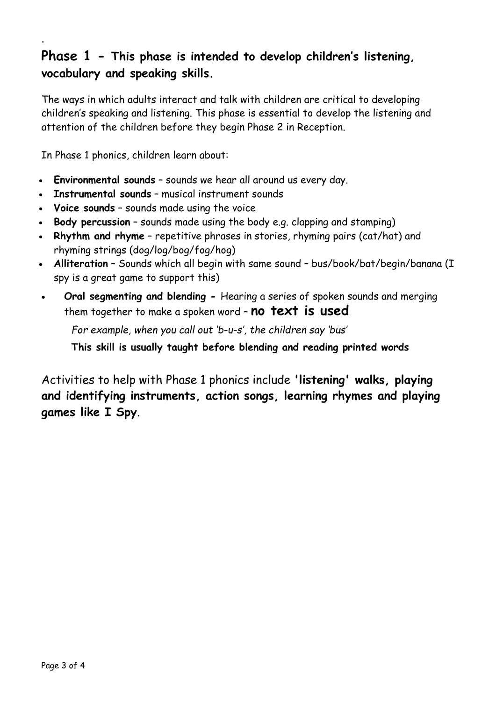#### **Phase 1 - This phase is intended to develop children's listening, vocabulary and speaking skills.**

The ways in which adults interact and talk with children are critical to developing children's speaking and listening. This phase is essential to develop the listening and attention of the children before they begin Phase 2 in Reception.

In Phase 1 phonics, children learn about:

.

- **Environmental sounds** sounds we hear all around us every day.
- **Instrumental sounds** musical instrument sounds
- **Voice sounds** sounds made using the voice
- **Body percussion** sounds made using the body e.g. clapping and stamping)
- **Rhythm and rhyme** repetitive phrases in stories, rhyming pairs (cat/hat) and rhyming strings (dog/log/bog/fog/hog)
- **[Alliteration](https://www.theschoolrun.com/alliteration-assonance-consonance)** Sounds which all begin with same sound bus/book/bat/begin/banana (I spy is a great game to support this)
- **Oral segmenting and blending -** Hearing a series of spoken sounds and merging them together to make a spoken word – **no text is used**

*For example, when you call out 'b-u-s', the children say 'bus'*

**This skill is usually taught before blending and reading printed words**

Activities to help with Phase 1 phonics include **'listening' walks, playing and identifying instruments, action songs, learning rhymes and playing games like I Spy**.